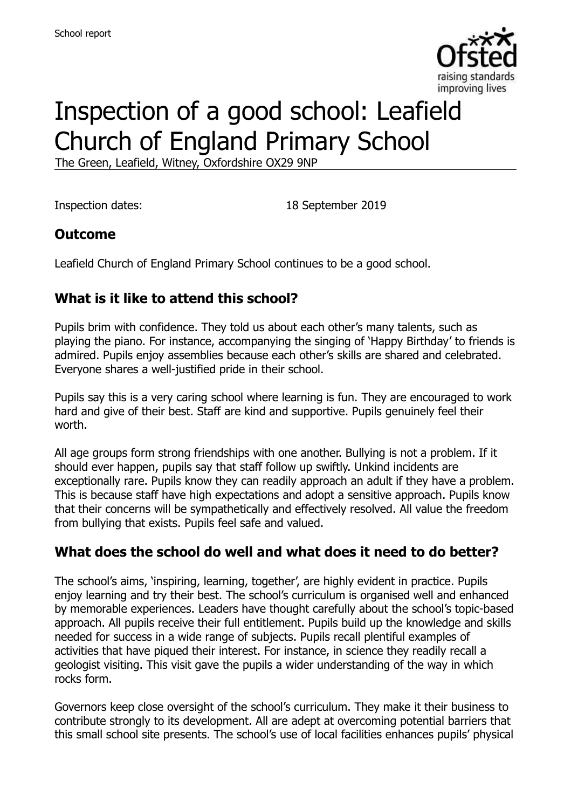

# Inspection of a good school: Leafield Church of England Primary School

The Green, Leafield, Witney, Oxfordshire OX29 9NP

Inspection dates: 18 September 2019

#### **Outcome**

Leafield Church of England Primary School continues to be a good school.

# **What is it like to attend this school?**

Pupils brim with confidence. They told us about each other's many talents, such as playing the piano. For instance, accompanying the singing of 'Happy Birthday' to friends is admired. Pupils enjoy assemblies because each other's skills are shared and celebrated. Everyone shares a well-justified pride in their school.

Pupils say this is a very caring school where learning is fun. They are encouraged to work hard and give of their best. Staff are kind and supportive. Pupils genuinely feel their worth.

All age groups form strong friendships with one another. Bullying is not a problem. If it should ever happen, pupils say that staff follow up swiftly. Unkind incidents are exceptionally rare. Pupils know they can readily approach an adult if they have a problem. This is because staff have high expectations and adopt a sensitive approach. Pupils know that their concerns will be sympathetically and effectively resolved. All value the freedom from bullying that exists. Pupils feel safe and valued.

# **What does the school do well and what does it need to do better?**

The school's aims, 'inspiring, learning, together', are highly evident in practice. Pupils enjoy learning and try their best. The school's curriculum is organised well and enhanced by memorable experiences. Leaders have thought carefully about the school's topic-based approach. All pupils receive their full entitlement. Pupils build up the knowledge and skills needed for success in a wide range of subjects. Pupils recall plentiful examples of activities that have piqued their interest. For instance, in science they readily recall a geologist visiting. This visit gave the pupils a wider understanding of the way in which rocks form.

Governors keep close oversight of the school's curriculum. They make it their business to contribute strongly to its development. All are adept at overcoming potential barriers that this small school site presents. The school's use of local facilities enhances pupils' physical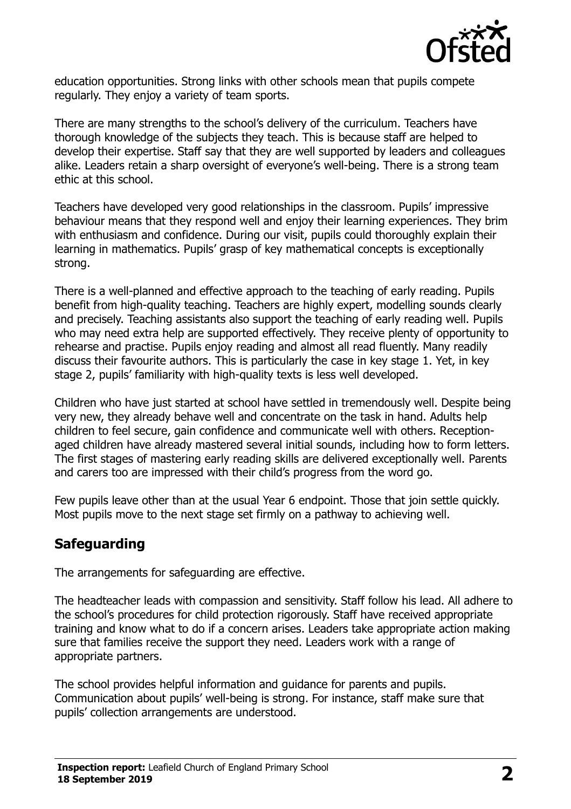

education opportunities. Strong links with other schools mean that pupils compete regularly. They enjoy a variety of team sports.

There are many strengths to the school's delivery of the curriculum. Teachers have thorough knowledge of the subjects they teach. This is because staff are helped to develop their expertise. Staff say that they are well supported by leaders and colleagues alike. Leaders retain a sharp oversight of everyone's well-being. There is a strong team ethic at this school.

Teachers have developed very good relationships in the classroom. Pupils' impressive behaviour means that they respond well and enjoy their learning experiences. They brim with enthusiasm and confidence. During our visit, pupils could thoroughly explain their learning in mathematics. Pupils' grasp of key mathematical concepts is exceptionally strong.

There is a well-planned and effective approach to the teaching of early reading. Pupils benefit from high-quality teaching. Teachers are highly expert, modelling sounds clearly and precisely. Teaching assistants also support the teaching of early reading well. Pupils who may need extra help are supported effectively. They receive plenty of opportunity to rehearse and practise. Pupils enjoy reading and almost all read fluently. Many readily discuss their favourite authors. This is particularly the case in key stage 1. Yet, in key stage 2, pupils' familiarity with high-quality texts is less well developed.

Children who have just started at school have settled in tremendously well. Despite being very new, they already behave well and concentrate on the task in hand. Adults help children to feel secure, gain confidence and communicate well with others. Receptionaged children have already mastered several initial sounds, including how to form letters. The first stages of mastering early reading skills are delivered exceptionally well. Parents and carers too are impressed with their child's progress from the word go.

Few pupils leave other than at the usual Year 6 endpoint. Those that join settle quickly. Most pupils move to the next stage set firmly on a pathway to achieving well.

#### **Safeguarding**

The arrangements for safeguarding are effective.

The headteacher leads with compassion and sensitivity. Staff follow his lead. All adhere to the school's procedures for child protection rigorously. Staff have received appropriate training and know what to do if a concern arises. Leaders take appropriate action making sure that families receive the support they need. Leaders work with a range of appropriate partners.

The school provides helpful information and guidance for parents and pupils. Communication about pupils' well-being is strong. For instance, staff make sure that pupils' collection arrangements are understood.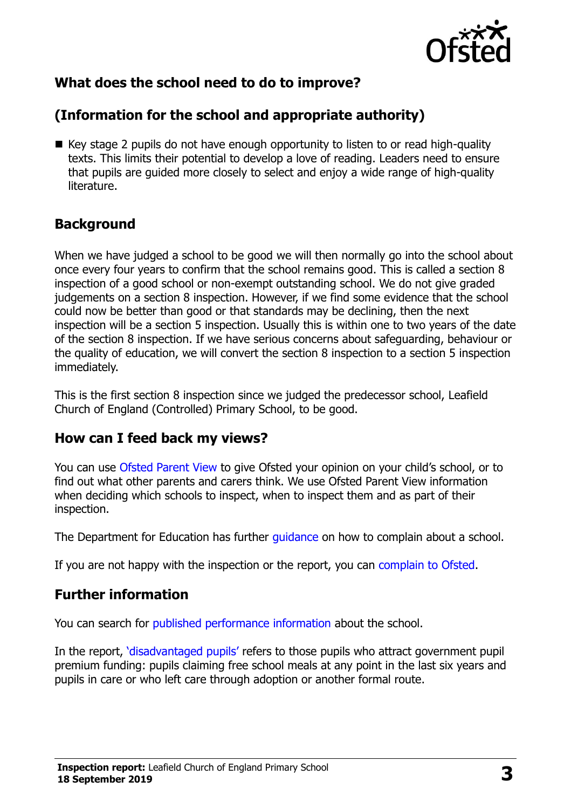

# **What does the school need to do to improve?**

# **(Information for the school and appropriate authority)**

■ Key stage 2 pupils do not have enough opportunity to listen to or read high-quality texts. This limits their potential to develop a love of reading. Leaders need to ensure that pupils are guided more closely to select and enjoy a wide range of high-quality literature.

### **Background**

When we have judged a school to be good we will then normally go into the school about once every four years to confirm that the school remains good. This is called a section 8 inspection of a good school or non-exempt outstanding school. We do not give graded judgements on a section 8 inspection. However, if we find some evidence that the school could now be better than good or that standards may be declining, then the next inspection will be a section 5 inspection. Usually this is within one to two years of the date of the section 8 inspection. If we have serious concerns about safeguarding, behaviour or the quality of education, we will convert the section 8 inspection to a section 5 inspection immediately.

This is the first section 8 inspection since we judged the predecessor school, Leafield Church of England (Controlled) Primary School, to be good.

#### **How can I feed back my views?**

You can use [Ofsted Parent View](https://parentview.ofsted.gov.uk/) to give Ofsted your opinion on your child's school, or to find out what other parents and carers think. We use Ofsted Parent View information when deciding which schools to inspect, when to inspect them and as part of their inspection.

The Department for Education has further quidance on how to complain about a school.

If you are not happy with the inspection or the report, you can [complain to Ofsted.](https://www.gov.uk/complain-ofsted-report)

# **Further information**

You can search for [published performance information](http://www.compare-school-performance.service.gov.uk/) about the school.

In the report, '[disadvantaged pupils](http://www.gov.uk/guidance/pupil-premium-information-for-schools-and-alternative-provision-settings)' refers to those pupils who attract government pupil premium funding: pupils claiming free school meals at any point in the last six years and pupils in care or who left care through adoption or another formal route.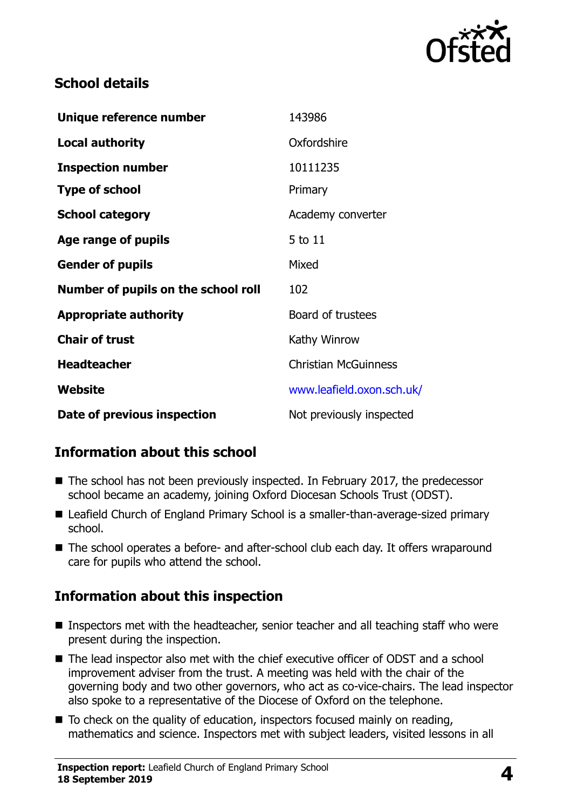

### **School details**

| Unique reference number             | 143986                      |
|-------------------------------------|-----------------------------|
| Local authority                     | Oxfordshire                 |
| <b>Inspection number</b>            | 10111235                    |
| <b>Type of school</b>               | Primary                     |
| <b>School category</b>              | Academy converter           |
| Age range of pupils                 | 5 to 11                     |
| <b>Gender of pupils</b>             | Mixed                       |
| Number of pupils on the school roll | 102                         |
| <b>Appropriate authority</b>        | Board of trustees           |
| <b>Chair of trust</b>               | Kathy Winrow                |
| <b>Headteacher</b>                  | <b>Christian McGuinness</b> |
| Website                             | www.leafield.oxon.sch.uk/   |
| Date of previous inspection         | Not previously inspected    |

# **Information about this school**

- The school has not been previously inspected. In February 2017, the predecessor school became an academy, joining Oxford Diocesan Schools Trust (ODST).
- Leafield Church of England Primary School is a smaller-than-average-sized primary school.
- The school operates a before- and after-school club each day. It offers wraparound care for pupils who attend the school.

# **Information about this inspection**

- Inspectors met with the headteacher, senior teacher and all teaching staff who were present during the inspection.
- The lead inspector also met with the chief executive officer of ODST and a school improvement adviser from the trust. A meeting was held with the chair of the governing body and two other governors, who act as co-vice-chairs. The lead inspector also spoke to a representative of the Diocese of Oxford on the telephone.
- To check on the quality of education, inspectors focused mainly on reading, mathematics and science. Inspectors met with subject leaders, visited lessons in all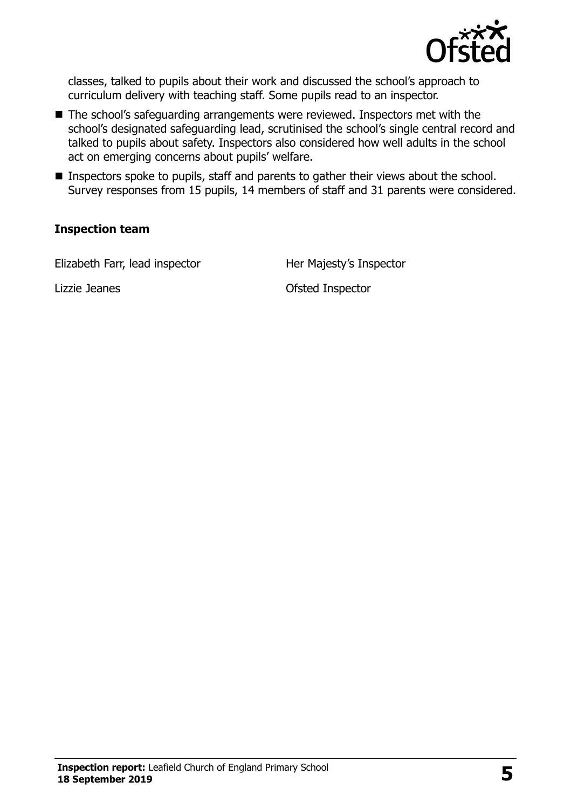

classes, talked to pupils about their work and discussed the school's approach to curriculum delivery with teaching staff. Some pupils read to an inspector.

- The school's safeguarding arrangements were reviewed. Inspectors met with the school's designated safeguarding lead, scrutinised the school's single central record and talked to pupils about safety. Inspectors also considered how well adults in the school act on emerging concerns about pupils' welfare.
- Inspectors spoke to pupils, staff and parents to gather their views about the school. Survey responses from 15 pupils, 14 members of staff and 31 parents were considered.

#### **Inspection team**

Elizabeth Farr, lead inspector Her Majesty's Inspector

Lizzie Jeanes Ofsted Inspector